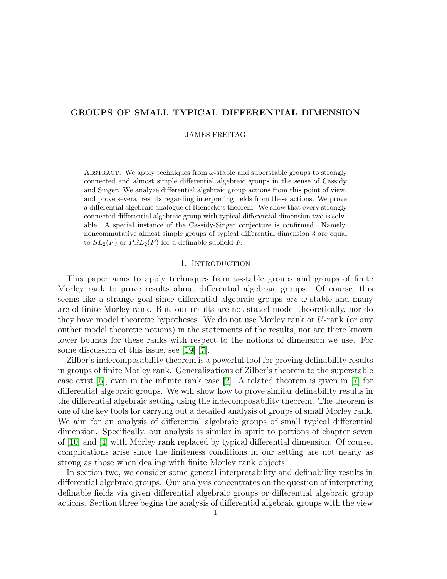# GROUPS OF SMALL TYPICAL DIFFERENTIAL DIMENSION

# JAMES FREITAG

ABSTRACT. We apply techniques from  $\omega$ -stable and superstable groups to strongly connected and almost simple differential algebraic groups in the sense of Cassidy and Singer. We analyze differential algebraic group actions from this point of view, and prove several results regarding interpreting fields from these actions. We prove a differential algebraic analogue of Rienecke's theorem. We show that every strongly connected differential algebraic group with typical differential dimension two is solvable. A special instance of the Cassidy-Singer conjecture is confirmed. Namely, noncommutative almost simple groups of typical differential dimension 3 are equal to  $SL_2(F)$  or  $PSL_2(F)$  for a definable subfield F.

#### 1. Introduction

This paper aims to apply techniques from  $\omega$ -stable groups and groups of finite Morley rank to prove results about differential algebraic groups. Of course, this seems like a strange goal since differential algebraic groups *are*  $\omega$ -stable and many are of finite Morley rank. But, our results are not stated model theoretically, nor do they have model theoretic hypotheses. We do not use Morley rank or U-rank (or any onther model theoretic notions) in the statements of the results, nor are there known lower bounds for these ranks with respect to the notions of dimension we use. For some discussion of this issue, see [\[19\]](#page-19-0) [\[7\]](#page-19-1).

Zilber's indecomposability theorem is a powerful tool for proving definability results in groups of finite Morley rank. Generalizations of Zilber's theorem to the superstable case exist [\[5\]](#page-19-2), even in the infinite rank case [\[2\]](#page-18-0). A related theorem is given in [\[7\]](#page-19-1) for differential algebraic groups. We will show how to prove similar definability results in the differential algebraic setting using the indecomposability theorem. The theorem is one of the key tools for carrying out a detailed analysis of groups of small Morley rank. We aim for an analysis of differential algebraic groups of small typical differential dimension. Specifically, our analysis is similar in spirit to portions of chapter seven of [\[10\]](#page-19-3) and [\[4\]](#page-18-1) with Morley rank replaced by typical differential dimension. Of course, complications arise since the finiteness conditions in our setting are not nearly as strong as those when dealing with finite Morley rank objects.

In section two, we consider some general interpretability and definability results in differential algebraic groups. Our analysis concentrates on the question of interpreting definable fields via given differential algebraic groups or differential algebraic group actions. Section three begins the analysis of differential algebraic groups with the view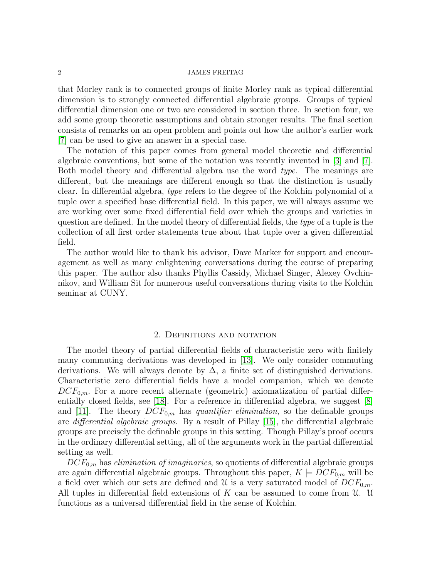that Morley rank is to connected groups of finite Morley rank as typical differential dimension is to strongly connected differential algebraic groups. Groups of typical differential dimension one or two are considered in section three. In section four, we add some group theoretic assumptions and obtain stronger results. The final section consists of remarks on an open problem and points out how the author's earlier work [\[7\]](#page-19-1) can be used to give an answer in a special case.

The notation of this paper comes from general model theoretic and differential algebraic conventions, but some of the notation was recently invented in [\[3\]](#page-18-2) and [\[7\]](#page-19-1). Both model theory and differential algebra use the word type. The meanings are different, but the meanings are different enough so that the distinction is usually clear. In differential algebra, type refers to the degree of the Kolchin polynomial of a tuple over a specified base differential field. In this paper, we will always assume we are working over some fixed differential field over which the groups and varieties in question are defined. In the model theory of differential fields, the type of a tuple is the collection of all first order statements true about that tuple over a given differential field.

The author would like to thank his advisor, Dave Marker for support and encouragement as well as many enlightening conversations during the course of preparing this paper. The author also thanks Phyllis Cassidy, Michael Singer, Alexey Ovchinnikov, and William Sit for numerous useful conversations during visits to the Kolchin seminar at CUNY.

# 2. Definitions and notation

The model theory of partial differential fields of characteristic zero with finitely many commuting derivations was developed in [\[13\]](#page-19-4). We only consider commuting derivations. We will always denote by  $\Delta$ , a finite set of distinguished derivations. Characteristic zero differential fields have a model companion, which we denote  $DCF_{0,m}$ . For a more recent alternate (geometric) axiomatization of partial differentially closed fields, see [\[18\]](#page-19-5). For a reference in differential algebra, we suggest [\[8\]](#page-19-6) and [\[11\]](#page-19-7). The theory  $DCF_{0,m}$  has quantifier elimination, so the definable groups are *differential algebraic groups*. By a result of Pillay [\[15\]](#page-19-8), the differential algebraic groups are precisely the definable groups in this setting. Though Pillay's proof occurs in the ordinary differential setting, all of the arguments work in the partial differential setting as well.

 $DCF_{0,m}$  has *elimination of imaginaries*, so quotients of differential algebraic groups are again differential algebraic groups. Throughout this paper,  $K \models DCF_{0,m}$  will be a field over which our sets are defined and U is a very saturated model of  $DCF_{0,m}$ . All tuples in differential field extensions of K can be assumed to come from U. U. functions as a universal differential field in the sense of Kolchin.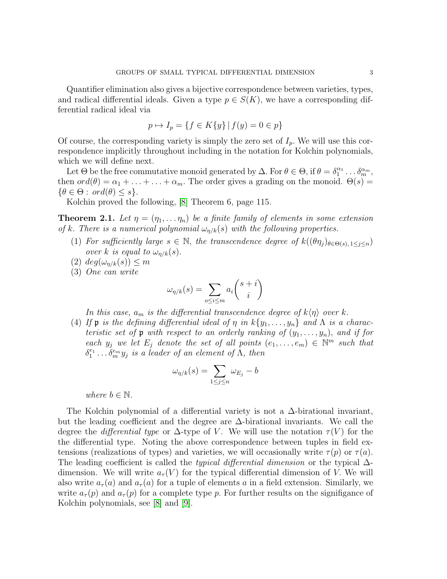Quantifier elimination also gives a bijective correspondence between varieties, types, and radical differential ideals. Given a type  $p \in S(K)$ , we have a corresponding differential radical ideal via

$$
p \mapsto I_p = \{ f \in K\{y\} \mid f(y) = 0 \in p \}
$$

Of course, the corresponding variety is simply the zero set of  $I_p$ . We will use this correspondence implicitly throughout including in the notation for Kolchin polynomials, which we will define next.

Let  $\Theta$  be the free commutative monoid generated by  $\Delta$ . For  $\theta \in \Theta$ , if  $\theta = \delta_1^{\alpha_1} \dots \delta_m^{\alpha_m}$ , then  $ord(\theta) = \alpha_1 + \ldots + \alpha_m$ . The order gives a grading on the monoid.  $\Theta(s)$  $\{\theta \in \Theta : \text{ord}(\theta) \leq s\}.$ 

Kolchin proved the following, [\[8\]](#page-19-6) Theorem 6, page 115.

**Theorem 2.1.** Let  $\eta = (\eta_1, \dots \eta_n)$  be a finite family of elements in some extension of k. There is a numerical polynomial  $\omega_{n/k}(s)$  with the following properties.

- (1) For sufficiently large  $s \in \mathbb{N}$ , the transcendence degree of  $k((\theta \eta_i)_{\theta \in \Theta(s), 1 \leq i \leq n})$ over k is equal to  $\omega_{n/k}(s)$ .
- $(2) \deg(\omega_{\eta/k}(s)) \leq m$
- (3) One can write

$$
\omega_{\eta/k}(s) = \sum_{o \le i \le m} a_i \binom{s+i}{i}
$$

In this case,  $a_m$  is the differential transcendence degree of  $k\langle \eta \rangle$  over k.

(4) If **p** is the defining differential ideal of  $\eta$  in  $k\{y_1, \ldots, y_n\}$  and  $\Lambda$  is a characteristic set of  $\mathfrak p$  with respect to an orderly ranking of  $(y_1, \ldots, y_n)$ , and if for each  $y_j$  we let  $E_j$  denote the set of all points  $(e_1, \ldots, e_m) \in \mathbb{N}^m$  such that  $\delta_1^{e_1} \ldots \delta_m^{e_m} y_j$  is a leader of an element of  $\Lambda$ , then

$$
\omega_{\eta/k}(s) = \sum_{1 \le j \le n} \omega_{E_j} - b
$$

where  $b \in \mathbb{N}$ .

The Kolchin polynomial of a differential variety is not a  $\Delta$ -birational invariant, but the leading coefficient and the degree are ∆-birational invariants. We call the degree the *differential type* or  $\Delta$ -type of V. We will use the notation  $\tau(V)$  for the the differential type. Noting the above correspondence between tuples in field extensions (realizations of types) and varieties, we will occasionally write  $\tau(p)$  or  $\tau(a)$ . The leading coefficient is called the *typical differential dimension* or the typical  $\Delta$ dimension. We will write  $a_{\tau}(V)$  for the typical differential dimension of V. We will also write  $a_{\tau}(a)$  and  $a_{\tau}(a)$  for a tuple of elements a in a field extension. Similarly, we write  $a_{\tau}(p)$  and  $a_{\tau}(p)$  for a complete type p. For further results on the signifigance of Kolchin polynomials, see [\[8\]](#page-19-6) and [\[9\]](#page-19-9).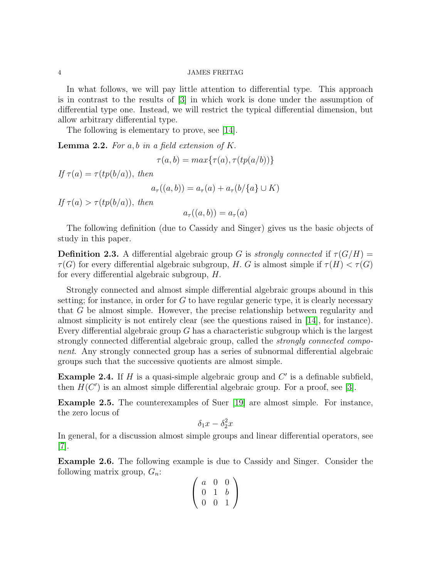In what follows, we will pay little attention to differential type. This approach is in contrast to the results of [\[3\]](#page-18-2) in which work is done under the assumption of differential type one. Instead, we will restrict the typical differential dimension, but allow arbitrary differential type.

The following is elementary to prove, see [\[14\]](#page-19-10).

**Lemma 2.2.** For a, b in a field extension of  $K$ .

$$
\tau(a,b) = max\{\tau(a), \tau(tp(a/b))\}
$$

If  $\tau(a) = \tau(tp(b/a))$ , then

$$
a_{\tau}((a,b)) = a_{\tau}(a) + a_{\tau}(b/\{a\} \cup K)
$$

If  $\tau(a) > \tau(tp(b/a))$ , then

$$
a_{\tau}((a,b)) = a_{\tau}(a)
$$

The following definition (due to Cassidy and Singer) gives us the basic objects of study in this paper.

**Definition 2.3.** A differential algebraic group G is strongly connected if  $\tau(G/H)$  =  $\tau(G)$  for every differential algebraic subgroup, H. G is almost simple if  $\tau(H) < \tau(G)$ for every differential algebraic subgroup, H.

Strongly connected and almost simple differential algebraic groups abound in this setting; for instance, in order for  $G$  to have regular generic type, it is clearly necessary that G be almost simple. However, the precise relationship between regularity and almost simplicity is not entirely clear (see the questions raised in [\[14\]](#page-19-10), for instance). Every differential algebraic group  $G$  has a characteristic subgroup which is the largest strongly connected differential algebraic group, called the strongly connected component. Any strongly connected group has a series of subnormal differential algebraic groups such that the successive quotients are almost simple.

**Example 2.4.** If H is a quasi-simple algebraic group and  $C'$  is a definable subfield, then  $H(C')$  is an almost simple differential algebraic group. For a proof, see [\[3\]](#page-18-2).

Example 2.5. The counterexamples of Suer [\[19\]](#page-19-0) are almost simple. For instance, the zero locus of

$$
\delta_1 x - \delta_2^2 x
$$

In general, for a discussion almost simple groups and linear differential operators, see [\[7\]](#page-19-1).

Example 2.6. The following example is due to Cassidy and Singer. Consider the following matrix group,  $G_n$ :

$$
\left(\begin{array}{ccc} a & 0 & 0 \\ 0 & 1 & b \\ 0 & 0 & 1 \end{array}\right)
$$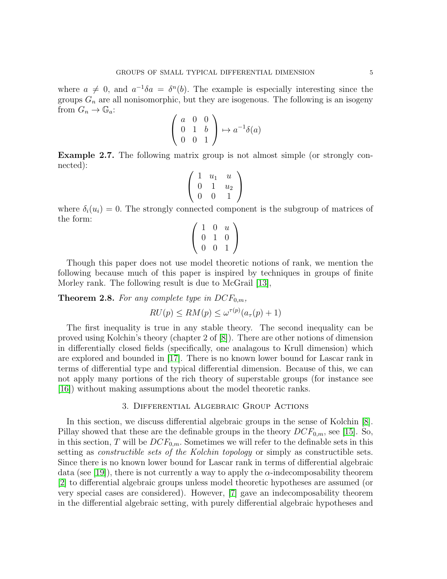where  $a \neq 0$ , and  $a^{-1}\delta a = \delta^{n}(b)$ . The example is especially interesting since the groups  $G_n$  are all nonisomorphic, but they are isogenous. The following is an isogeny from  $G_n \to \mathbb{G}_a$ :

$$
\left(\begin{array}{ccc} a & 0 & 0 \\ 0 & 1 & b \\ 0 & 0 & 1 \end{array}\right) \mapsto a^{-1}\delta(a)
$$

Example 2.7. The following matrix group is not almost simple (or strongly connected):

$$
\left(\begin{array}{ccc} 1 & u_1 & u \\ 0 & 1 & u_2 \\ 0 & 0 & 1 \end{array}\right)
$$

where  $\delta_i(u_i) = 0$ . The strongly connected component is the subgroup of matrices of the form:

$$
\left(\begin{array}{rrr} 1 & 0 & u \\ 0 & 1 & 0 \\ 0 & 0 & 1 \end{array}\right)
$$

Though this paper does not use model theoretic notions of rank, we mention the following because much of this paper is inspired by techniques in groups of finite Morley rank. The following result is due to McGrail [\[13\]](#page-19-4),

**Theorem 2.8.** For any complete type in  $DCF_{0,m}$ ,

$$
RU(p) \le RM(p) \le \omega^{\tau(p)}(a_{\tau}(p) + 1)
$$

The first inequality is true in any stable theory. The second inequality can be proved using Kolchin's theory (chapter 2 of [\[8\]](#page-19-6)). There are other notions of dimension in differentially closed fields (specifically, one analagous to Krull dimension) which are explored and bounded in [\[17\]](#page-19-11). There is no known lower bound for Lascar rank in terms of differential type and typical differential dimension. Because of this, we can not apply many portions of the rich theory of superstable groups (for instance see [\[16\]](#page-19-12)) without making assumptions about the model theoretic ranks.

# 3. Differential Algebraic Group Actions

In this section, we discuss differential algebraic groups in the sense of Kolchin [\[8\]](#page-19-6). Pillay showed that these are the definable groups in the theory  $DCF_{0,m}$ , see [\[15\]](#page-19-8). So, in this section, T will be  $DCF_{0,m}$ . Sometimes we will refer to the definable sets in this setting as *constructible sets of the Kolchin topology* or simply as constructible sets. Since there is no known lower bound for Lascar rank in terms of differential algebraic data (see [\[19\]](#page-19-0)), there is not currently a way to apply the  $\alpha$ -indecomposability theorem [\[2\]](#page-18-0) to differential algebraic groups unless model theoretic hypotheses are assumed (or very special cases are considered). However, [\[7\]](#page-19-1) gave an indecomposability theorem in the differential algebraic setting, with purely differential algebraic hypotheses and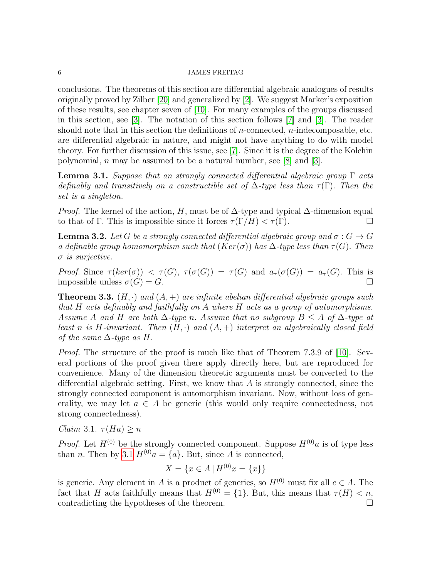# $6$   $\,$  JAMES FREITAG  $\,$

conclusions. The theorems of this section are differential algebraic analogues of results originally proved by Zilber [\[20\]](#page-19-13) and generalized by [\[2\]](#page-18-0). We suggest Marker's exposition of these results, see chapter seven of [\[10\]](#page-19-3). For many examples of the groups discussed in this section, see [\[3\]](#page-18-2). The notation of this section follows [\[7\]](#page-19-1) and [\[3\]](#page-18-2). The reader should note that in this section the definitions of  $n$ -connected,  $n$ -indecomposable, etc. are differential algebraic in nature, and might not have anything to do with model theory. For further discussion of this issue, see [\[7\]](#page-19-1). Since it is the degree of the Kolchin polynomial, n may be assumed to be a natural number, see  $[8]$  and  $[3]$ .

<span id="page-5-0"></span>**Lemma 3.1.** Suppose that an strongly connected differential algebraic group  $\Gamma$  acts definably and transitively on a constructible set of  $\Delta$ -type less than  $\tau(\Gamma)$ . Then the set is a singleton.

*Proof.* The kernel of the action, H, must be of  $\Delta$ -type and typical  $\Delta$ -dimension equal to that of Γ. This is impossible since it forces  $\tau(\Gamma/H) < \tau(\Gamma)$ .

**Lemma 3.2.** Let G be a strongly connected differential algebraic group and  $\sigma: G \to G$ a definable group homomorphism such that  $(Ker(\sigma))$  has  $\Delta$ -type less than  $\tau(G)$ . Then  $\sigma$  is surjective.

Proof. Since  $\tau(ker(\sigma)) < \tau(G)$ ,  $\tau(\sigma(G)) = \tau(G)$  and  $a_{\tau}(\sigma(G)) = a_{\tau}(G)$ . This is impossible unless  $\sigma(G) = G$ .

<span id="page-5-1"></span>**Theorem 3.3.**  $(H, \cdot)$  and  $(A, +)$  are infinite abelian differential algebraic groups such that H acts definably and faithfully on A where H acts as a group of automorphisms. Assume A and H are both  $\Delta$ -type n. Assume that no subgroup  $B \leq A$  of  $\Delta$ -type at least n is H-invariant. Then  $(H, \cdot)$  and  $(A, +)$  interpret an algebraically closed field of the same  $\Delta$ -type as H.

*Proof.* The structure of the proof is much like that of Theorem 7.3.9 of [\[10\]](#page-19-3). Several portions of the proof given there apply directly here, but are reproduced for convenience. Many of the dimension theoretic arguments must be converted to the differential algebraic setting. First, we know that  $A$  is strongly connected, since the strongly connected component is automorphism invariant. Now, without loss of generality, we may let  $a \in A$  be generic (this would only require connectedness, not strong connectedness).

Claim 3.1.  $\tau(Ha) \geq n$ 

*Proof.* Let  $H^{(0)}$  be the strongly connected component. Suppose  $H^{(0)}$ a is of type less than *n*. Then by [3.1](#page-5-0)  $H^{(0)}a = \{a\}$ . But, since *A* is connected,

$$
X = \{ x \in A \mid H^{(0)}x = \{ x \} \}
$$

is generic. Any element in A is a product of generics, so  $H^{(0)}$  must fix all  $c \in A$ . The fact that H acts faithfully means that  $H^{(0)} = \{1\}$ . But, this means that  $\tau(H) < n$ , contradicting the hypotheses of the theorem.  $\Box$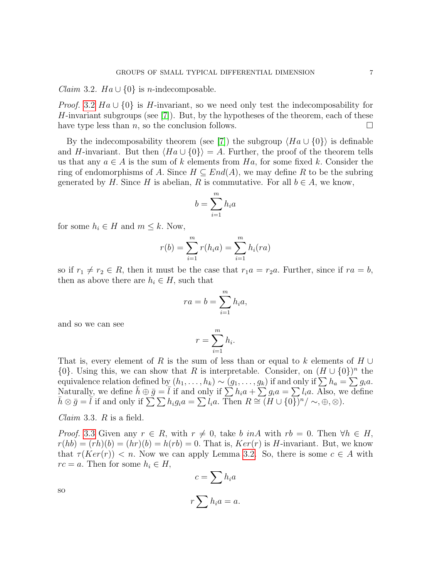<span id="page-6-0"></span>*Claim* 3.2.  $Ha \cup \{0\}$  is *n*-indecomposable.

*Proof.* [3.2](#page-6-0)  $Ha \cup \{0\}$  is *H*-invariant, so we need only test the indecomposability for H-invariant subgroups (see  $[7]$ ). But, by the hypotheses of the theorem, each of these have type less than n, so the conclusion follows.  $\square$ 

By the indecomposability theorem (see [\[7\]](#page-19-1)) the subgroup  $\langle Ha \cup \{0\} \rangle$  is definable and H-invariant. But then  $\langle Ha \cup \{0\} \rangle = A$ . Further, the proof of the theorem tells us that any  $a \in A$  is the sum of k elements from Ha, for some fixed k. Consider the ring of endomorphisms of A. Since  $H \subseteq End(A)$ , we may define R to be the subring generated by H. Since H is abelian, R is commutative. For all  $b \in A$ , we know,

$$
b = \sum_{i=1}^{m} h_i a
$$

for some  $h_i \in H$  and  $m \leq k$ . Now,

$$
r(b) = \sum_{i=1}^{m} r(h_i a) = \sum_{i=1}^{m} h_i (ra)
$$

so if  $r_1 \neq r_2 \in R$ , then it must be the case that  $r_1a = r_2a$ . Further, since if  $ra = b$ , then as above there are  $h_i \in H$ , such that

$$
ra = b = \sum_{i=1}^{m} h_i a,
$$

and so we can see

$$
r = \sum_{i=1}^{m} h_i.
$$

That is, every element of R is the sum of less than or equal to k elements of  $H \cup$  ${0}$ . Using this, we can show that R is interpretable. Consider, on  $(H \cup {0})^n$  the equivalence relation defined by  $(h_1, \ldots, h_k) \sim (g_1, \ldots, g_k)$  if and only if  $\sum h_a = \sum g_i a$ . Naturally, we define  $\bar{h} \oplus \bar{g} = \bar{l}$  if and only if  $\sum h_i a + \sum g_i a = \sum l_i a$ . Also, we define  $\bar{h}\otimes\bar{g}=\overline{\tilde{l}}$  if and only if  $\sum_{i=1}^{n}\sum_{i=1}^{n}h_{i}g_{i}a=\sum_{i=1}^{n}l_{i}a$ . Then  $R\cong(H\cup\{0\})^{n}/\sim, \oplus, \otimes$ ).

<span id="page-6-1"></span>*Claim* 3.3.  $R$  is a field.

*Proof.* [3.3](#page-6-1) Given any  $r \in R$ , with  $r \neq 0$ , take b inA with  $rb = 0$ . Then  $\forall h \in H$ ,  $r(hb) = (rh)(b) = (hr)(b) = h(rb) = 0$ . That is,  $Ker(r)$  is H-invariant. But, we know that  $\tau(Ker(r)) < n$ . Now we can apply Lemma [3.2.](#page-6-0) So, there is some  $c \in A$  with  $rc = a$ . Then for some  $h_i \in H$ ,

 $\Gamma$ .

$$
c = \sum h_i a
$$

$$
r \sum h_i a = a.
$$

so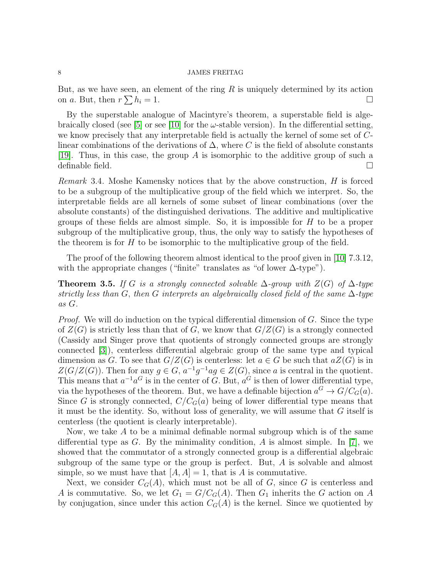But, as we have seen, an element of the ring  $R$  is uniquely determined by its action on a. But, then  $r \sum h_i = 1$ .

By the superstable analogue of Macintyre's theorem, a superstable field is alge-braically closed (see [\[5\]](#page-19-2) or see [\[10\]](#page-19-3) for the  $\omega$ -stable version). In the differential setting, we know precisely that any interpretable field is actually the kernel of some set of Clinear combinations of the derivations of  $\Delta$ , where C is the field of absolute constants [\[19\]](#page-19-0). Thus, in this case, the group A is isomorphic to the additive group of such a definable field.  $\square$ 

Remark 3.4. Moshe Kamensky notices that by the above construction, H is forced to be a subgroup of the multiplicative group of the field which we interpret. So, the interpretable fields are all kernels of some subset of linear combinations (over the absolute constants) of the distinguished derivations. The additive and multiplicative groups of these fields are almost simple. So, it is impossible for  $H$  to be a proper subgroup of the multiplicative group, thus, the only way to satisfy the hypotheses of the theorem is for  $H$  to be isomorphic to the multiplicative group of the field.

The proof of the following theorem almost identical to the proof given in [\[10\]](#page-19-3) 7.3.12. with the appropriate changes ("finite" translates as "of lower  $\Delta$ -type").

<span id="page-7-0"></span>**Theorem 3.5.** If G is a strongly connected solvable  $\Delta$ -group with  $Z(G)$  of  $\Delta$ -type strictly less than G, then G interprets an algebraically closed field of the same  $\Delta$ -type as G.

*Proof.* We will do induction on the typical differential dimension of  $G$ . Since the type of  $Z(G)$  is strictly less than that of G, we know that  $G/Z(G)$  is a strongly connected (Cassidy and Singer prove that quotients of strongly connected groups are strongly connected [\[3\]](#page-18-2)), centerless differential algebraic group of the same type and typical dimension as G. To see that  $G/Z(G)$  is centerless: let  $a \in G$  be such that  $aZ(G)$  is in  $Z(G/Z(G))$ . Then for any  $g \in G$ ,  $a^{-1}g^{-1}ag \in Z(G)$ , since a is central in the quotient. This means that  $a^{-1}a^G$  is in the center of G. But,  $a^G$  is then of lower differential type, via the hypotheses of the theorem. But, we have a definable bijection  $a^G \to G/C_G(a)$ . Since G is strongly connected,  $C/C<sub>G</sub>(a)$  being of lower differential type means that it must be the identity. So, without loss of generality, we will assume that  $G$  itself is centerless (the quotient is clearly interpretable).

Now, we take A to be a minimal definable normal subgroup which is of the same differential type as  $G$ . By the minimality condition,  $A$  is almost simple. In [\[7\]](#page-19-1), we showed that the commutator of a strongly connected group is a differential algebraic subgroup of the same type or the group is perfect. But, A is solvable and almost simple, so we must have that  $|A, A| = 1$ , that is A is commutative.

Next, we consider  $C_G(A)$ , which must not be all of G, since G is centerless and A is commutative. So, we let  $G_1 = G/C<sub>G</sub>(A)$ . Then  $G_1$  inherits the G action on A by conjugation, since under this action  $C_G(A)$  is the kernel. Since we quotiented by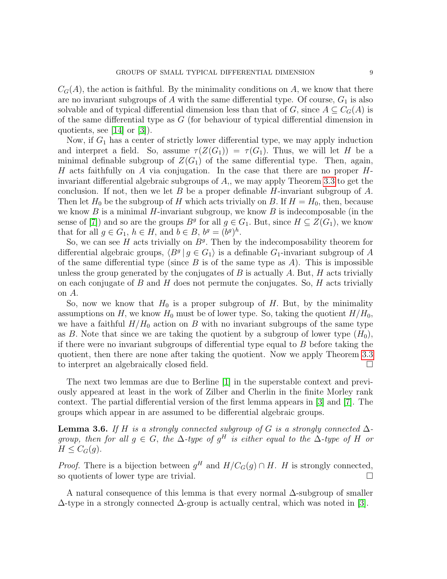$C_G(A)$ , the action is faithful. By the minimality conditions on A, we know that there are no invariant subgroups of A with the same differential type. Of course,  $G_1$  is also solvable and of typical differential dimension less than that of G, since  $A \subseteq C_G(A)$  is of the same differential type as G (for behaviour of typical differential dimension in quotients, see [\[14\]](#page-19-10) or [\[3\]](#page-18-2)).

Now, if  $G_1$  has a center of strictly lower differential type, we may apply induction and interpret a field. So, assume  $\tau(Z(G_1)) = \tau(G_1)$ . Thus, we will let H be a minimal definable subgroup of  $Z(G_1)$  of the same differential type. Then, again, H acts faithfully on  $A$  via conjugation. In the case that there are no proper  $H$ invariant differential algebraic subgroups of  $A<sub>1</sub>$ , we may apply Theorem [3.3](#page-5-1) to get the conclusion. If not, then we let B be a proper definable H-invariant subgroup of A. Then let  $H_0$  be the subgroup of H which acts trivially on B. If  $H = H_0$ , then, because we know  $B$  is a minimal  $H$ -invariant subgroup, we know  $B$  is indecomposable (in the sense of [\[7\]](#page-19-1)) and so are the groups  $B^g$  for all  $g \in G_1$ . But, since  $H \subseteq Z(G_1)$ , we know that for all  $g \in G_1$ ,  $h \in H$ , and  $b \in B$ ,  $b^g = (b^g)^h$ .

So, we can see  $H$  acts trivially on  $B<sup>g</sup>$ . Then by the indecomposability theorem for differential algebraic groups,  $\langle B^g | g \in G_1 \rangle$  is a definable  $G_1$ -invariant subgroup of A of the same differential type (since  $B$  is of the same type as  $A$ ). This is impossible unless the group generated by the conjugates of  $B$  is actually  $A$ . But,  $H$  acts trivially on each conjugate of  $B$  and  $H$  does not permute the conjugates. So,  $H$  acts trivially on A.

So, now we know that  $H_0$  is a proper subgroup of H. But, by the minimality assumptions on H, we know  $H_0$  must be of lower type. So, taking the quotient  $H/H_0$ , we have a faithful  $H/H_0$  action on B with no invariant subgroups of the same type as B. Note that since we are taking the quotient by a subgroup of lower type  $(H_0)$ , if there were no invariant subgroups of differential type equal to  $B$  before taking the quotient, then there are none after taking the quotient. Now we apply Theorem [3.3](#page-5-1) to interpret an algebraically closed field.

The next two lemmas are due to Berline [\[1\]](#page-18-3) in the superstable context and previously appeared at least in the work of Zilber and Cherlin in the finite Morley rank context. The partial differential version of the first lemma appears in [\[3\]](#page-18-2) and [\[7\]](#page-19-1). The groups which appear in are assumed to be differential algebraic groups.

**Lemma 3.6.** If H is a strongly connected subgroup of G is a strongly connected  $\Delta$ group, then for all  $g \in G$ , the  $\Delta$ -type of  $g^H$  is either equal to the  $\Delta$ -type of H or  $H \leq C_G(q)$ .

*Proof.* There is a bijection between  $g^H$  and  $H/C_G(g) \cap H$ . H is strongly connected, so quotients of lower type are trivial.

A natural consequence of this lemma is that every normal ∆-subgroup of smaller  $\Delta$ -type in a strongly connected  $\Delta$ -group is actually central, which was noted in [\[3\]](#page-18-2).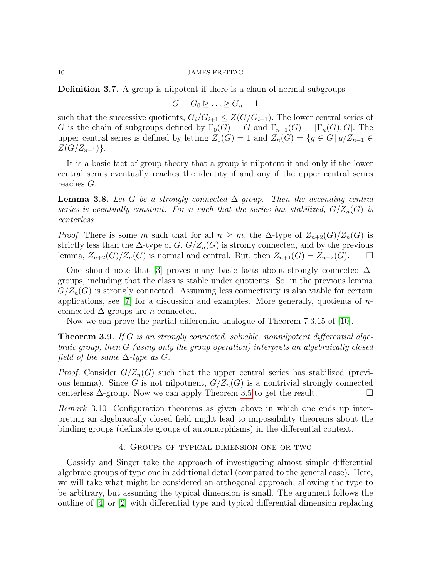Definition 3.7. A group is nilpotent if there is a chain of normal subgroups

$$
G = G_0 \trianglerighteq \ldots \trianglerighteq G_n = 1
$$

such that the successive quotients,  $G_i/G_{i+1} \leq Z(G/G_{i+1})$ . The lower central series of G is the chain of subgroups defined by  $\Gamma_0(G) = G$  and  $\Gamma_{n+1}(G) = [\Gamma_n(G), G]$ . The upper central series is defined by letting  $Z_0(G) = 1$  and  $Z_n(G) = \{g \in G \mid g/Z_{n-1} \in G\}$  $Z(G/Z_{n-1})\}.$ 

It is a basic fact of group theory that a group is nilpotent if and only if the lower central series eventually reaches the identity if and ony if the upper central series reaches G.

**Lemma 3.8.** Let G be a strongly connected  $\Delta$ -group. Then the ascending central series is eventually constant. For n such that the series has stabilized,  $G/Z_n(G)$  is centerless.

*Proof.* There is some m such that for all  $n \geq m$ , the  $\Delta$ -type of  $Z_{n+2}(G)/Z_n(G)$  is strictly less than the  $\Delta$ -type of G.  $G/Z_n(G)$  is stronly connected, and by the previous lemma,  $Z_{n+2}(G)/Z_n(G)$  is normal and central. But, then  $Z_{n+1}(G) = Z_{n+2}(G)$ .  $\Box$ 

One should note that [\[3\]](#page-18-2) proves many basic facts about strongly connected  $\Delta$ groups, including that the class is stable under quotients. So, in the previous lemma  $G/Z_n(G)$  is strongly connected. Assuming less connectivity is also viable for certain applications, see  $[7]$  for a discussion and examples. More generally, quotients of *n*connected  $\Delta$ -groups are *n*-connected.

Now we can prove the partial differential analogue of Theorem 7.3.15 of [\[10\]](#page-19-3).

**Theorem 3.9.** If G is an strongly connected, solvable, nonnilpotent differential algebraic group, then G (using only the group operation) interprets an algebraically closed field of the same  $\Delta$ -type as  $G$ .

*Proof.* Consider  $G/Z_n(G)$  such that the upper central series has stabilized (previous lemma). Since G is not nilpotnent,  $G/Z_n(G)$  is a nontrivial strongly connected centerless  $\Delta$ -group. Now we can apply Theorem [3.5](#page-7-0) to get the result.  $\Box$ 

Remark 3.10. Configuration theorems as given above in which one ends up interpreting an algebraically closed field might lead to impossibility theorems about the binding groups (definable groups of automorphisms) in the differential context.

# 4. Groups of typical dimension one or two

Cassidy and Singer take the approach of investigating almost simple differential algebraic groups of type one in additional detail (compared to the general case). Here, we will take what might be considered an orthogonal approach, allowing the type to be arbitrary, but assuming the typical dimension is small. The argument follows the outline of [\[4\]](#page-18-1) or [\[2\]](#page-18-0) with differential type and typical differential dimension replacing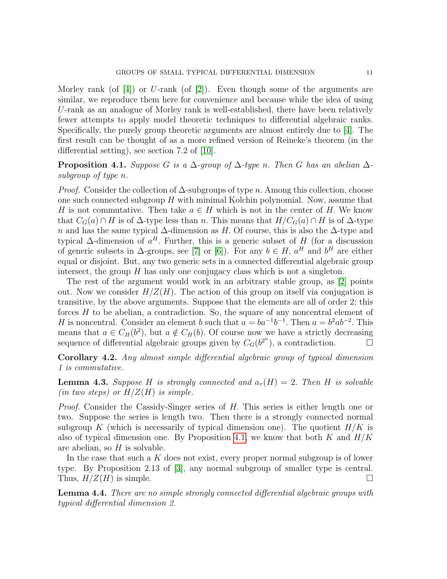Morley rank (of  $[4]$ ) or U-rank (of  $[2]$ ). Even though some of the arguments are similar, we reproduce them here for convenience and because while the idea of using U-rank as an analogue of Morley rank is well-established, there have been relatively fewer attempts to apply model theoretic techniques to differential algebraic ranks. Specifically, the purely group theoretic arguments are almost entirely due to [\[4\]](#page-18-1). The first result can be thought of as a more refined version of Reineke's theorem (in the differential setting), see section 7.2 of [\[10\]](#page-19-3).

<span id="page-10-0"></span>**Proposition 4.1.** Suppose G is a  $\Delta$ -group of  $\Delta$ -type n. Then G has an abelian  $\Delta$ subgroup of type n.

*Proof.* Consider the collection of  $\Delta$ -subgroups of type n. Among this collection, choose one such connected subgroup  $H$  with minimal Kolchin polynomial. Now, assume that H is not commutative. Then take  $a \in H$  which is not in the center of H. We know that  $C_G(a) \cap H$  is of  $\Delta$ -type less than n. This means that  $H/C_G(a) \cap H$  is of  $\Delta$ -type n and has the same typical  $\Delta$ -dimension as H. Of course, this is also the  $\Delta$ -type and typical  $\Delta$ -dimension of  $a^H$ . Further, this is a generic subset of H (for a discussion of generic subsets in  $\Delta$ -groups, see [\[7\]](#page-19-1) or [\[6\]](#page-19-14)). For any  $b \in H$ ,  $a^H$  and  $b^H$  are either equal or disjoint. But, any two generic sets in a connected differential algebraic group intersect, the group  $H$  has only one conjugacy class which is not a singleton.

The rest of the argument would work in an arbitrary stable group, as [\[2\]](#page-18-0) points out. Now we consider  $H/Z(H)$ . The action of this group on itself via conjugation is transitive, by the above arguments. Suppose that the elements are all of order 2; this forces  $H$  to be abelian, a contradiction. So, the square of any noncentral element of H is noncentral. Consider an element b such that  $a = ba^{-1}b^{-1}$ . Then  $a = b^2ab^{-2}$ . This means that  $a \in C_H(b^2)$ , but  $a \notin C_H(b)$ . Of course now we have a strictly decreasing sequence of differential algebraic groups given by  $C_G(b^{2^n})$ , a contradiction.

Corollary 4.2. Any almost simple differential algebraic group of typical dimension 1 is commutative.

**Lemma 4.3.** Suppose H is strongly connected and  $a_{\tau}(H) = 2$ . Then H is solvable (in two steps) or  $H/Z(H)$  is simple.

Proof. Consider the Cassidy-Singer series of H. This series is either length one or two. Suppose the series is length two. Then there is a strongly connected normal subgroup K (which is necessarily of typical dimension one). The quotient  $H/K$  is also of typical dimension one. By Proposition [4.1,](#page-10-0) we know that both K and  $H/K$ are abelian, so  $H$  is solvable.

In the case that such a  $K$  does not exist, every proper normal subgroup is of lower type. By Proposition 2.13 of [\[3\]](#page-18-2), any normal subgroup of smaller type is central. Thus,  $H/Z(H)$  is simple.

<span id="page-10-1"></span>**Lemma 4.4.** There are no simple strongly connected differential algebraic groups with typical differential dimension 2.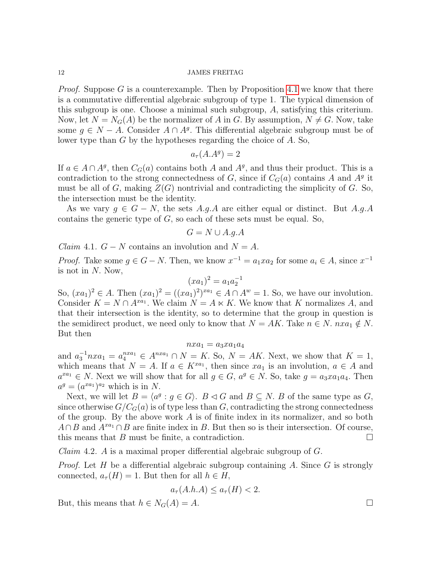*Proof.* Suppose G is a counterexample. Then by Proposition [4.1](#page-10-0) we know that there is a commutative differential algebraic subgroup of type 1. The typical dimension of this subgroup is one. Choose a minimal such subgroup, A, satisfying this criterium. Now, let  $N = N_G(A)$  be the normalizer of A in G. By assumption,  $N \neq G$ . Now, take some  $g \in N - A$ . Consider  $A \cap A<sup>g</sup>$ . This differential algebraic subgroup must be of lower type than G by the hypotheses regarding the choice of A. So,

$$
a_\tau(A.A^g)=2
$$

If  $a \in A \cap A^g$ , then  $C_G(a)$  contains both A and  $A^g$ , and thus their product. This is a contradiction to the strong connectedness of  $G$ , since if  $C_G(a)$  contains A and  $A<sup>g</sup>$  it must be all of G, making  $Z(G)$  nontrivial and contradicting the simplicity of G. So, the intersection must be the identity.

As we vary  $g \in G - N$ , the sets A.g.A are either equal or distinct. But A.g.A contains the generic type of  $G$ , so each of these sets must be equal. So,

$$
G = N \cup A.g.A
$$

*Claim* 4.1.  $G - N$  contains an involution and  $N = A$ .

*Proof.* Take some  $g \in G - N$ . Then, we know  $x^{-1} = a_1 x a_2$  for some  $a_i \in A$ , since  $x^{-1}$ is not in  $N$ . Now,

$$
(xa_1)^2 = a_1 a_2^{-1}
$$

So,  $(xa_1)^2 \in A$ . Then  $(xa_1)^2 = ((xa_1)^2)^{xa_1} \in A \cap A^w = 1$ . So, we have our involution. Consider  $K = N \cap A^{xa_1}$ . We claim  $N = A \ltimes K$ . We know that K normalizes A, and that their intersection is the identity, so to determine that the group in question is the semidirect product, we need only to know that  $N = AK$ . Take  $n \in N$ .  $nxa_1 \notin N$ . But then

$$
nxa_1 = a_3xa_1a_4
$$

and  $a_3^{-1} n x a_1 = a_4^{n x a_1} \in A^{n x a_1} \cap N = K$ . So,  $N = AK$ . Next, we show that  $K = 1$ , which means that  $N = A$ . If  $a \in K^{x a_1}$ , then since  $x a_1$  is an involution,  $a \in A$  and  $a^{xa_1} \in N$ . Next we will show that for all  $g \in G$ ,  $a^g \in N$ . So, take  $g = a_3xa_1a_4$ . Then  $a^g = (a^{xa_1})^{a_2}$  which is in N.

Next, we will let  $B = \langle a^g : g \in G \rangle$ .  $B \triangleleft G$  and  $B \subseteq N$ . B of the same type as G, since otherwise  $G/C<sub>G</sub>(a)$  is of type less than G, contradicting the strong connectedness of the group. By the above work  $A$  is of finite index in its normalizer, and so both  $A \cap B$  and  $A^{xa_1} \cap B$  are finite index in B. But then so is their intersection. Of course, this means that B must be finite, a contradiction.  $\square$ 

*Claim 4.2. A* is a maximal proper differential algebraic subgroup of  $G$ .

*Proof.* Let H be a differential algebraic subgroup containing A. Since  $G$  is strongly connected,  $a_{\tau}(H) = 1$ . But then for all  $h \in H$ ,

$$
a_{\tau}(A.h.A) \le a_{\tau}(H) < 2.
$$

But, this means that  $h \in N_G(A) = A$ .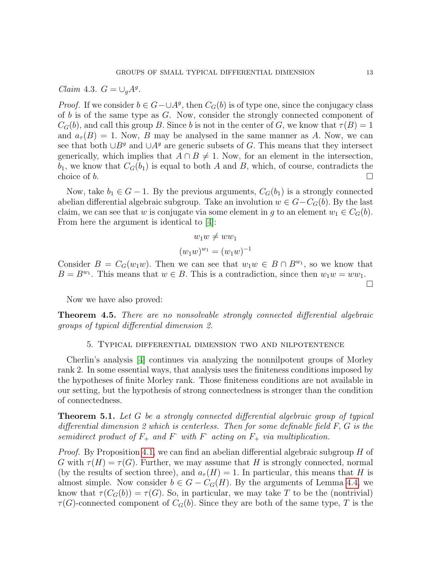Claim 4.3.  $G = \bigcup_{g} A^g$ .

*Proof.* If we consider  $b \in G - \cup A^g$ , then  $C_G(b)$  is of type one, since the conjugacy class of  $b$  is of the same type as  $G$ . Now, consider the strongly connected component of  $C_G(b)$ , and call this group B. Since b is not in the center of G, we know that  $\tau(B) = 1$ and  $a_{\tau}(B) = 1$ . Now, B may be analysed in the same manner as A. Now, we can see that both ∪ $B<sup>g</sup>$  and ∪ $A<sup>g</sup>$  are generic subsets of G. This means that they intersect generically, which implies that  $A \cap B \neq 1$ . Now, for an element in the intersection,  $b_1$ , we know that  $C_G(b_1)$  is equal to both A and B, which, of course, contradicts the choice of b.

Now, take  $b_1 \in G - 1$ . By the previous arguments,  $C_G(b_1)$  is a strongly connected abelian differential algebraic subgroup. Take an involution  $w \in G - C_G(b)$ . By the last claim, we can see that w is conjugate via some element in g to an element  $w_1 \in C_G(b)$ . From here the argument is identical to [\[4\]](#page-18-1):

$$
w_1w \neq ww_1
$$

$$
(w_1w)^{w_1} = (w_1w)^{-1}
$$

Consider  $B = C_G(w_1w)$ . Then we can see that  $w_1w \in B \cap B^{w_1}$ , so we know that  $B = B^{w_1}$ . This means that  $w \in B$ . This is a contradiction, since then  $w_1w = ww_1$ .  $\Box$ 

Now we have also proved:

**Theorem 4.5.** There are no nonsolvable strongly connected differential algebraic groups of typical differential dimension 2.

# 5. Typical differential dimension two and nilpotentence

Cherlin's analysis [\[4\]](#page-18-1) continues via analyzing the nonnilpotent groups of Morley rank 2. In some essential ways, that analysis uses the finiteness conditions imposed by the hypotheses of finite Morley rank. Those finiteness conditions are not available in our setting, but the hypothesis of strong connectedness is stronger than the condition of connectedness.

**Theorem 5.1.** Let  $G$  be a strongly connected differential algebraic group of typical differential dimension 2 which is centerless. Then for some definable field F, G is the semidirect product of  $F_+$  and  $F_-$  with  $F_-$  acting on  $F_+$  via multiplication.

*Proof.* By Proposition [4.1,](#page-10-0) we can find an abelian differential algebraic subgroup  $H$  of G with  $\tau(H) = \tau(G)$ . Further, we may assume that H is strongly connected, normal (by the results of section three), and  $a<sub>\tau</sub>(H) = 1$ . In particular, this means that H is almost simple. Now consider  $b \in G - C_G(H)$ . By the arguments of Lemma [4.4,](#page-10-1) we know that  $\tau(C_G(b)) = \tau(G)$ . So, in particular, we may take T to be the (nontrivial)  $\tau(G)$ -connected component of  $C_G(b)$ . Since they are both of the same type, T is the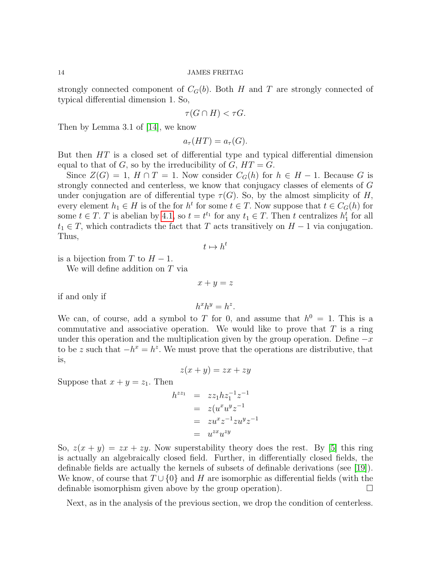strongly connected component of  $C_G(b)$ . Both H and T are strongly connected of typical differential dimension 1. So,

$$
\tau(G \cap H) < \tau G.
$$

Then by Lemma 3.1 of [\[14\]](#page-19-10), we know

$$
a_{\tau}(HT) = a_{\tau}(G).
$$

But then HT is a closed set of differential type and typical differential dimension equal to that of  $G$ , so by the irreducibility of  $G$ ,  $HT = G$ .

Since  $Z(G) = 1$ ,  $H \cap T = 1$ . Now consider  $C_G(h)$  for  $h \in H - 1$ . Because G is strongly connected and centerless, we know that conjugacy classes of elements of G under conjugation are of differential type  $\tau(G)$ . So, by the almost simplicity of H, every element  $h_1 \in H$  is of the for  $h^t$  for some  $t \in T$ . Now suppose that  $t \in C_G(h)$  for some  $t \in T$ . T is abelian by [4.1,](#page-10-0) so  $t = t^{t_1}$  for any  $t_1 \in T$ . Then t centralizes  $h_1^t$  for all  $t_1 \in T$ , which contradicts the fact that T acts transitively on  $H-1$  via conjugation. Thus,

$$
t\mapsto h^t
$$

is a bijection from T to  $H-1$ .

We will define addition on T via

if and only if

$$
h^x h^y = h^z.
$$

 $x + y = z$ 

We can, of course, add a symbol to T for 0, and assume that  $h^0 = 1$ . This is a commutative and associative operation. We would like to prove that  $T$  is a ring under this operation and the multiplication given by the group operation. Define  $-x$ to be z such that  $-h^x = h^z$ . We must prove that the operations are distributive, that is,

$$
z(x+y) = zx + zy
$$

Suppose that  $x + y = z_1$ . Then

$$
h^{zz_1} = zz_1 h z_1^{-1} z^{-1}
$$
  
=  $z(u^x u^y z^{-1}$   
=  $zu^x z^{-1} z u^y z^{-1}$   
=  $u^{zx} u^{zy}$ 

So,  $z(x + y) = zx + zy$ . Now superstability theory does the rest. By [\[5\]](#page-19-2) this ring is actually an algebraically closed field. Further, in differentially closed fields, the definable fields are actually the kernels of subsets of definable derivations (see [\[19\]](#page-19-0)). We know, of course that  $T \cup \{0\}$  and H are isomorphic as differential fields (with the definable isomorphism given above by the group operation).  $\Box$ 

Next, as in the analysis of the previous section, we drop the condition of centerless.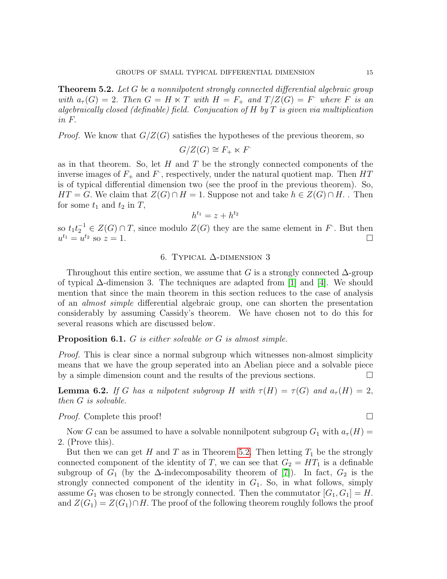<span id="page-14-0"></span>**Theorem 5.2.** Let G be a nonnilpotent strongly connected differential algebraic group with  $a_{\tau}(G) = 2$ . Then  $G = H \ltimes T$  with  $H = F_{+}$  and  $T/Z(G) = F$  where F is an algebraically closed (definable) field. Conjucation of H by T is given via multiplication in F.

*Proof.* We know that  $G/Z(G)$  satisfies the hypotheses of the previous theorem, so

$$
G/Z(G) \cong F_+ \ltimes F^{\cdot}
$$

as in that theorem. So, let  $H$  and  $T$  be the strongly connected components of the inverse images of  $F_+$  and  $F$ , respectively, under the natural quotient map. Then  $HT$ is of typical differential dimension two (see the proof in the previous theorem). So,  $HT = G$ . We claim that  $Z(G) \cap H = 1$ . Suppose not and take  $h \in Z(G) \cap H$ . Then for some  $t_1$  and  $t_2$  in  $T$ ,

$$
h^{t_1} = z + h^{t_2}
$$

so  $t_1 t_2^{-1} \in Z(G) \cap T$ , since modulo  $Z(G)$  they are the same element in F. But then  $u^{t_1} = u^{t_2}$  so  $z = 1$ .

# 6. Typical ∆-dimension 3

Throughout this entire section, we assume that G is a strongly connected  $\Delta$ -group of typical  $\Delta$ -dimension 3. The techniques are adapted from [\[1\]](#page-18-3) and [\[4\]](#page-18-1). We should mention that since the main theorem in this section reduces to the case of analysis of an almost simple differential algebraic group, one can shorten the presentation considerably by assuming Cassidy's theorem. We have chosen not to do this for several reasons which are discussed below.

**Proposition 6.1.** G is either solvable or G is almost simple.

Proof. This is clear since a normal subgroup which witnesses non-almost simplicity means that we have the group seperated into an Abelian piece and a solvable piece by a simple dimension count and the results of the previous sections.

**Lemma 6.2.** If G has a nilpotent subgroup H with  $\tau(H) = \tau(G)$  and  $a_{\tau}(H) = 2$ , then G is solvable.

*Proof.* Complete this proof!

Now G can be assumed to have a solvable nonnilpotent subgroup  $G_1$  with  $a_\tau(H)$  = 2. (Prove this).

But then we can get H and T as in Theorem [5.2.](#page-14-0) Then letting  $T_1$  be the strongly connected component of the identity of T, we can see that  $G_2 = HT_1$  is a definable subgroup of  $G_1$  (by the  $\Delta$ -indecomposability theorem of [\[7\]](#page-19-1)). In fact,  $G_2$  is the strongly connected component of the identity in  $G_1$ . So, in what follows, simply assume  $G_1$  was chosen to be strongly connected. Then the commutator  $[G_1, G_1] = H$ . and  $Z(G_1) = Z(G_1) \cap H$ . The proof of the following theorem roughly follows the proof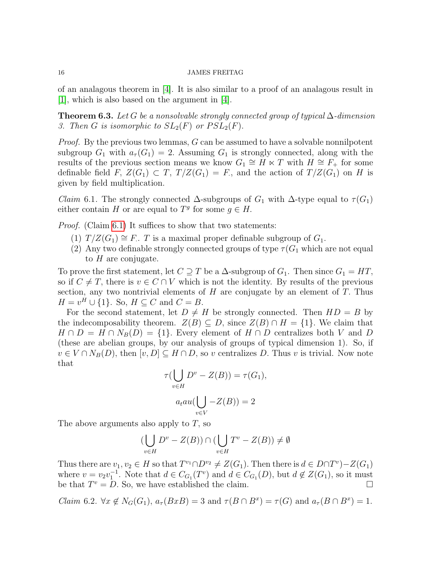of an analagous theorem in [\[4\]](#page-18-1). It is also similar to a proof of an analagous result in [\[1\]](#page-18-3), which is also based on the argument in [\[4\]](#page-18-1).

<span id="page-15-2"></span>**Theorem 6.3.** Let G be a nonsolvable strongly connected group of typical  $\Delta$ -dimension 3. Then G is isomorphic to  $SL_2(F)$  or  $PSL_2(F)$ .

*Proof.* By the previous two lemmas,  $G$  can be assumed to have a solvable nonnilpotent subgroup  $G_1$  with  $a_\tau(G_1) = 2$ . Assuming  $G_1$  is strongly connected, along with the results of the previous section means we know  $G_1 \cong H \ltimes T$  with  $H \cong F_+$  for some definable field F,  $Z(G_1) \subset T$ ,  $T/Z(G_1) = F$ , and the action of  $T/Z(G_1)$  on H is given by field multiplication.

<span id="page-15-0"></span>*Claim* 6.1. The strongly connected  $\Delta$ -subgroups of  $G_1$  with  $\Delta$ -type equal to  $\tau(G_1)$ either contain H or are equal to  $T<sup>g</sup>$  for some  $g \in H$ .

*Proof.* (Claim [6.1\)](#page-15-0) It suffices to show that two statements:

- (1)  $T/Z(G_1) \cong F$ . T is a maximal proper definable subgroup of  $G_1$ .
- (2) Any two definable strongly connected groups of type  $\tau(G_1)$  which are not equal to  $H$  are conjugate.

To prove the first statement, let  $C \supseteq T$  be a  $\Delta$ -subgroup of  $G_1$ . Then since  $G_1 = HT$ , so if  $C \neq T$ , there is  $v \in C \cap V$  which is not the identity. By results of the previous section, any two nontrivial elements of  $H$  are conjugate by an element of  $T$ . Thus  $H = v^H \cup \{1\}$ . So,  $H \subseteq C$  and  $C = B$ .

For the second statement, let  $D \neq H$  be strongly connected. Then  $HD = B$  by the indecomposability theorem.  $Z(B) \subseteq D$ , since  $Z(B) \cap H = \{1\}$ . We claim that  $H \cap D = H \cap N_B(D) = \{1\}$ . Every element of  $H \cap D$  centralizes both V and D (these are abelian groups, by our analysis of groups of typical dimension 1). So, if  $v \in V \cap N_B(D)$ , then  $[v, D] \subseteq H \cap D$ , so v centralizes D. Thus v is trivial. Now note that

$$
\tau(\bigcup_{v \in H} D^v - Z(B)) = \tau(G_1),
$$
  

$$
a_t au(\bigcup_{v \in V} -Z(B)) = 2
$$

The above arguments also apply to  $T$ , so

$$
\left(\bigcup_{v \in H} D^v - Z(B)\right) \cap \left(\bigcup_{v \in H} T^v - Z(B)\right) \neq \emptyset
$$

Thus there are  $v_1, v_2 \in H$  so that  $T^{v_1} \cap D^{v_2} \neq Z(G_1)$ . Then there is  $d \in D \cap T^v$ ) $-Z(G_1)$ where  $v = v_2v_1^{-1}$ . Note that  $d \in C_{G_1}(T^v)$  and  $d \in C_{G_1}(D)$ , but  $d \notin Z(G_1)$ , so it must be that  $T^v = D$ . So, we have established the claim.

<span id="page-15-1"></span>*Claim* 6.2.  $\forall x \notin N_G(G_1), a_\tau(BxB) = 3$  and  $\tau(B \cap B^x) = \tau(G)$  and  $a_\tau(B \cap B^x) = 1$ .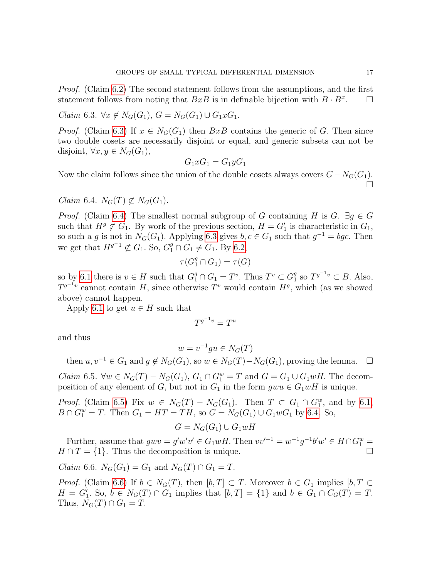Proof. (Claim [6.2\)](#page-15-1) The second statement follows from the assumptions, and the first statement follows from noting that  $BxB$  is in definable bijection with  $B \cdot B^x$ .  $\Box$ 

<span id="page-16-0"></span> $Claim 6.3. ∀x \notin N_G(G_1), G = N_G(G_1) \cup G_1xG_1.$ 

*Proof.* (Claim [6.3\)](#page-16-0) If  $x \in N_G(G_1)$  then  $BxB$  contains the generic of G. Then since two double cosets are necessarily disjoint or equal, and generic subsets can not be disjoint,  $\forall x, y \in N_G(G_1)$ ,

$$
G_1 x G_1 = G_1 y G_1
$$

Now the claim follows since the union of the double cosets always covers  $G-N_G(G_1)$ .  $\Box$ 

<span id="page-16-1"></span>Claim 6.4.  $N_G(T) \not\subset N_G(G_1)$ .

*Proof.* (Claim [6.4\)](#page-16-1) The smallest normal subgroup of G containing H is G.  $\exists g \in G$ such that  $H<sup>g</sup> \not\subset G_1$ . By work of the previous section,  $H = G'_1$  is characteristic in  $G_1$ , so such a g is not in  $N_G(G_1)$ . Applying [6.3](#page-16-0) gives  $b, c \in G_1$  such that  $g^{-1} = bgc$ . Then we get that  $H^{g^{-1}} \not\subset G_1$ . So,  $G_1^g \cap G_1 \neq G_1$ . By [6.2,](#page-15-1)

$$
\tau(G_1^g \cap G_1) = \tau(G)
$$

so by [6.1](#page-15-0) there is  $v \in H$  such that  $G_1^g \cap G_1 = T^v$ . Thus  $T^v \subset G_1^g$  $_1^g$  so  $T^{g^{-1}v} \subset B$ . Also,  $T^{g^{-1}v}$  cannot contain H, since otherwise  $T^v$  would contain  $H^g$ , which (as we showed above) cannot happen.

Apply [6.1](#page-15-0) to get  $u \in H$  such that

$$
T^{g^{-1}v} = T^u
$$

and thus

$$
w = v^{-1}gu \in N_G(T)
$$

then  $u, v^{-1} \in G_1$  and  $q \notin N_G(G_1)$ , so  $w \in N_G(T) - N_G(G_1)$ , proving the lemma.  $\square$ 

<span id="page-16-2"></span>*Claim* 6.5.  $\forall w \in N_G(T) - N_G(G_1)$ ,  $G_1 \cap G_1^w = T$  and  $G = G_1 \cup G_1 wH$ . The decomposition of any element of G, but not in  $G_1$  in the form  $gwu \in G_1wH$  is unique.

*Proof.* (Claim [6.5\)](#page-16-2) Fix  $w \in N_G(T) - N_G(G_1)$ . Then  $T \subset G_1 \cap G_1^w$ , and by [6.1,](#page-15-0)  $B \cap G_1^w = T$ . Then  $G_1 = HT = TH$ , so  $G = N_G(G_1) \cup G_1 w G_1$  by [6.4.](#page-16-1) So,

$$
G = N_G(G_1) \cup G_1 wH
$$

Further, assume that  $g w v = g' w' v' \in G_1 w H$ . Then  $v v'^{-1} = w^{-1} g^{-1} b' w' \in H \cap G_1^w$  $H \cap T = \{1\}$ . Thus the decomposition is unique.

<span id="page-16-3"></span>*Claim* 6.6.  $N_G(G_1) = G_1$  and  $N_G(T) \cap G_1 = T$ .

*Proof.* (Claim [6.6\)](#page-16-3) If  $b \in N_G(T)$ , then  $[b, T] \subset T$ . Moreover  $b \in G_1$  implies  $[b, T] \subset T$  $H = G_1'$ . So,  $b \in N_G(T) \cap G_1$  implies that  $[b, T] = \{1\}$  and  $b \in G_1 \cap C_G(T) = T$ . Thus,  $N_G(T) \cap G_1 = T$ .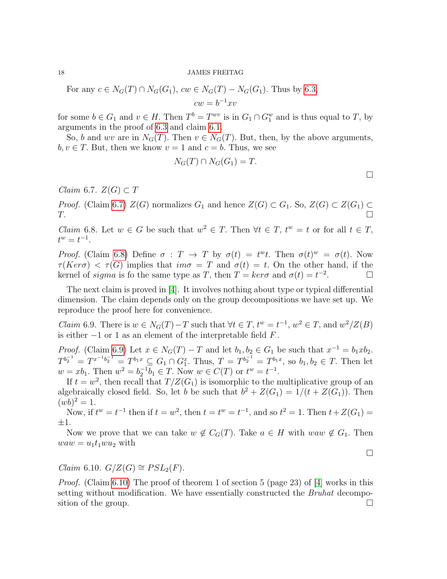For any  $c \in N_G(T) \cap N_G(G_1)$ ,  $cw \in N_G(T) - N_G(G_1)$ . Thus by [6.3,](#page-16-0)  $cw = b^{-1}xv$ 

for some  $b \in G_1$  and  $v \in H$ . Then  $T^b = T^{wv}$  is in  $G_1 \cap G_1^w$  and is thus equal to T, by arguments in the proof of [6.3](#page-16-0) and claim [6.1.](#page-15-0)

So, b and wv are in  $N_G(T)$ . Then  $v \in N_G(T)$ . But, then, by the above arguments,  $b, v \in T$ . But, then we know  $v = 1$  and  $c = b$ . Thus, we see

$$
N_G(T) \cap N_G(G_1) = T.
$$

<span id="page-17-0"></span>*Claim* 6.7.  $Z(G) \subset T$ 

*Proof.* (Claim [6.7\)](#page-17-0)  $Z(G)$  normalizes  $G_1$  and hence  $Z(G) \subset G_1$ . So,  $Z(G) \subset Z(G_1) \subset Z(G_2)$  $T.$ 

<span id="page-17-1"></span>*Claim* 6.8. Let  $w \in G$  be such that  $w^2 \in T$ . Then  $\forall t \in T$ ,  $t^w = t$  or for all  $t \in T$ ,  $t^w = t^{-1}.$ 

Proof. (Claim [6.8\)](#page-17-1) Define  $\sigma : T \to T$  by  $\sigma(t) = t^{\omega}t$ . Then  $\sigma(t)^{\omega} = \sigma(t)$ . Now  $\tau(Ker\sigma) < \tau(G)$  implies that  $im\sigma = T$  and  $\sigma(t) = t$ . On the other hand, if the kernel of *sigma* is fo the same type as T, then  $T = \text{ker}\sigma$  and  $\sigma(t) = t^{-2}$ . ∴ П<br>. П

The next claim is proved in [\[4\]](#page-18-1). It involves nothing about type or typical differential dimension. The claim depends only on the group decompositions we have set up. We reproduce the proof here for convenience.

<span id="page-17-2"></span>*Claim* 6.9. There is  $w \in N_G(T) - T$  such that  $\forall t \in T$ ,  $t^w = t^{-1}$ ,  $w^2 \in T$ , and  $w^2/Z(B)$ is either  $-1$  or 1 as an element of the interpretable field  $F$ .

*Proof.* (Claim [6.9\)](#page-17-2) Let  $x \in N_G(T) - T$  and let  $b_1, b_2 \in G_1$  be such that  $x^{-1} = b_1 x b_2$ .  $T^{b_2^{-1}} = T^{x^{-1}b_2^{-1}} = T^{b_1x} \subseteq G_1 \cap G_1^x$ . Thus,  $T = T^{b_2^{-1}} = T^{b_1x}$ , so  $b_1, b_2 \in T$ . Then let  $w = xb_1$ . Then  $w^2 = b_2^{-1}b_1 \in T$ . Now  $w \in C(T)$  or  $t^w = t^{-1}$ .

If  $t = w^2$ , then recall that  $T/Z(G_1)$  is isomorphic to the multiplicative group of an algebraically closed field. So, let b be such that  $b^2 + Z(G_1) = 1/(t + Z(G_1))$ . Then  $(wb)^2 = 1.$ 

Now, if  $t^w = t^{-1}$  then if  $t = w^2$ , then  $t = t^w = t^{-1}$ , and so  $t^2 = 1$ . Then  $t + Z(G_1) =$ ±1.

Now we prove that we can take  $w \notin C_G(T)$ . Take  $a \in H$  with  $waw \notin G_1$ . Then  $waw = u_1t_1wu_2$  with

 $\Box$ 

<span id="page-17-3"></span>Claim 6.10.  $G/Z(G) \cong PSL_2(F)$ .

*Proof.* (Claim [6.10\)](#page-17-3) The proof of theorem 1 of section 5 (page 23) of [\[4\]](#page-18-1) works in this setting without modification. We have essentially constructed the *Bruhat* decomposition of the group.  $\square$ 

 $\Box$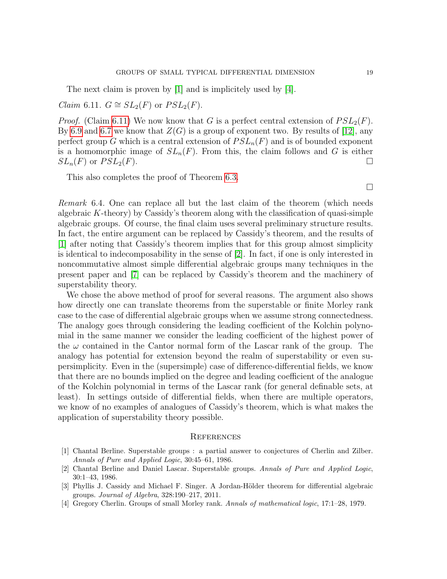The next claim is proven by [\[1\]](#page-18-3) and is implicitely used by [\[4\]](#page-18-1).

<span id="page-18-4"></span>*Claim* 6.11.  $G \cong SL_2(F)$  or  $PSL_2(F)$ .

*Proof.* (Claim [6.11\)](#page-18-4) We now know that G is a perfect central extension of  $PSL_2(F)$ . By [6.9](#page-17-2) and [6.7](#page-17-0) we know that  $Z(G)$  is a group of exponent two. By results of [\[12\]](#page-19-15), any perfect group G which is a central extension of  $PSL_n(F)$  and is of bounded exponent is a homomorphic image of  $SL_n(F)$ . From this, the claim follows and G is either  $SL_n(F)$  or  $PSL_2(F)$ .

This also completes the proof of Theorem [6.3.](#page-15-2)

 $\Box$ 

Remark 6.4. One can replace all but the last claim of the theorem (which needs algebraic  $K$ -theory) by Cassidy's theorem along with the classification of quasi-simple algebraic groups. Of course, the final claim uses several preliminary structure results. In fact, the entire argument can be replaced by Cassidy's theorem, and the results of [\[1\]](#page-18-3) after noting that Cassidy's theorem implies that for this group almost simplicity is identical to indecomposability in the sense of [\[2\]](#page-18-0). In fact, if one is only interested in noncommutative almost simple differential algebraic groups many techniques in the present paper and [\[7\]](#page-19-1) can be replaced by Cassidy's theorem and the machinery of superstability theory.

We chose the above method of proof for several reasons. The argument also shows how directly one can translate theorems from the superstable or finite Morley rank case to the case of differential algebraic groups when we assume strong connectedness. The analogy goes through considering the leading coefficient of the Kolchin polynomial in the same manner we consider the leading coefficient of the highest power of the  $\omega$  contained in the Cantor normal form of the Lascar rank of the group. The analogy has potential for extension beyond the realm of superstability or even supersimplicity. Even in the (supersimple) case of difference-differential fields, we know that there are no bounds implied on the degree and leading coefficient of the analogue of the Kolchin polynomial in terms of the Lascar rank (for general definable sets, at least). In settings outside of differential fields, when there are multiple operators, we know of no examples of analogues of Cassidy's theorem, which is what makes the application of superstability theory possible.

## **REFERENCES**

- <span id="page-18-3"></span>[1] Chantal Berline. Superstable groups : a partial answer to conjectures of Cherlin and Zilber. Annals of Pure and Applied Logic, 30:45–61, 1986.
- <span id="page-18-0"></span>[2] Chantal Berline and Daniel Lascar. Superstable groups. Annals of Pure and Applied Logic, 30:1–43, 1986.
- <span id="page-18-2"></span>[3] Phyllis J. Cassidy and Michael F. Singer. A Jordan-Hölder theorem for differential algebraic groups. Journal of Algebra, 328:190–217, 2011.
- <span id="page-18-1"></span>[4] Gregory Cherlin. Groups of small Morley rank. Annals of mathematical logic, 17:1–28, 1979.